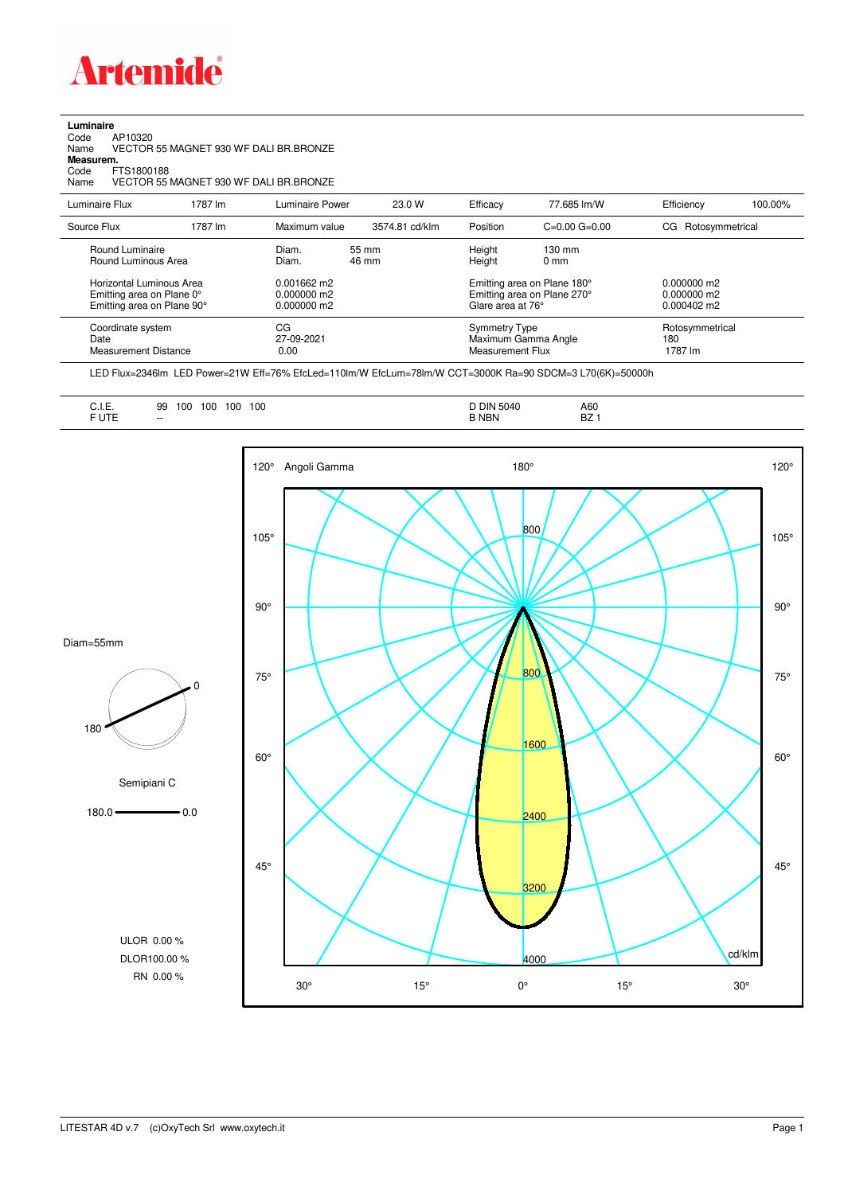

**Luminaire**<br>Code<br>Name Code AP10320 Name VECTOR 55 MAGNET 930 WF DALI BR.BRONZE

**Measurem.**

Code FTS1800188<br>Name VECTOR 55 VECTOR 55 MAGNET 930 WF DALI BR.BRONZE

| Luminaire Flux                                                                                                                | 1787 lm | Luminaire Power                                                   | 23.0 W         | Efficacy | 77.685 lm/W                                                                                                                               | Efficiency                        | 100.00% |
|-------------------------------------------------------------------------------------------------------------------------------|---------|-------------------------------------------------------------------|----------------|----------|-------------------------------------------------------------------------------------------------------------------------------------------|-----------------------------------|---------|
| Source Flux                                                                                                                   | 1787 lm | Maximum value                                                     | 3574.81 cd/klm | Position | $C=0.00$ $G=0.00$                                                                                                                         | CG Rotosymmetrical                |         |
| Round Luminaire<br>Round Luminous Area<br>Horizontal Luminous Area<br>Emitting area on Plane 0°<br>Emitting area on Plane 90° |         | Diam.<br>Diam.<br>$0.001662$ m2<br>$0.000000$ m2<br>$0.000000$ m2 | 55 mm<br>46 mm |          | Height<br>$130 \text{ mm}$<br>Height<br>$0 \text{ mm}$<br>Emitting area on Plane 180°<br>Emitting area on Plane 270°<br>Glare area at 76° |                                   |         |
| Coordinate system<br>Date<br>Measurement Distance                                                                             |         | CG<br>27-09-2021<br>0.00                                          |                |          | Symmetry Type<br>Maximum Gamma Angle<br>Measurement Flux                                                                                  | Rotosymmetrical<br>180<br>1787 lm |         |

LED Flux=2346lm LED Power=21W Eff=76% EfcLed=110lm/W EfcLum=78lm/W CCT=3000K Ra=90 SDCM=3 L70(6K)=50000h